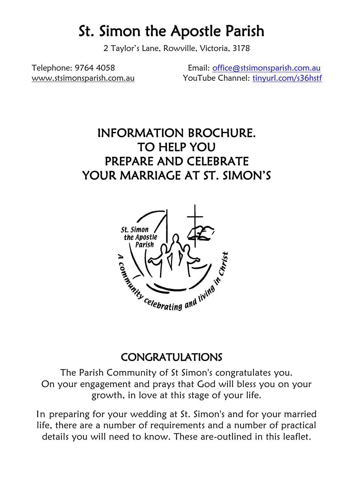# St. Simon the Apostle Parish

2 Taylor's Lane, Rowville, Victoria, 3178

Telephone: 9764 4058 Email: [office@stsimonsparish.com.au](mailto:office@stsimonsparish.com.au) [www.stsimonsparish.com.au](http://www.stsimonsparish.com.au/) YouTube Channel: [tinyurl.com/s36hstf](http://tinyurl.com/s36hstf)

# INFORMATION BROCHURE. TO HELP YOU PREPARE AND CELEBRATE YOUR MARRIAGE AT ST. SIMON'S



### CONGRATULATIONS

The Parish Community of St Simon's congratulates you. On your engagement and prays that God will bless you on your growth, in love at this stage of your life.

In preparing for your wedding at St. Simon's and for your married life, there are a number of requirements and a number of practical details you will need to know. These are-outlined in this leaflet.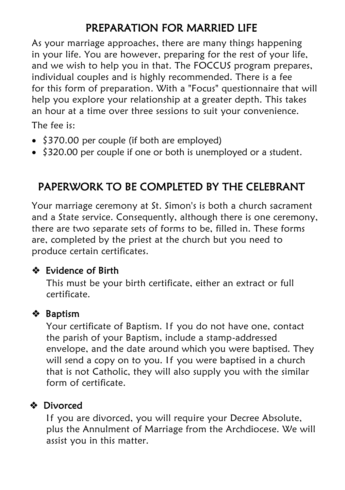# PREPARATION FOR MARRIED LIFE

As your marriage approaches, there are many things happening in your life. You are however, preparing for the rest of your life, and we wish to help you in that. The FOCCUS program prepares, individual couples and is highly recommended. There is a fee for this form of preparation. With a "Focus" questionnaire that will help you explore your relationship at a greater depth. This takes an hour at a time over three sessions to suit your convenience.

The fee is:

- \$370.00 per couple (if both are employed)
- \$320.00 per couple if one or both is unemployed or a student.

## PAPERWORK TO BE COMPLETED BY THE CELEBRANT

Your marriage ceremony at St. Simon's is both a church sacrament and a State service. Consequently, although there is one ceremony, there are two separate sets of forms to be, filled in. These forms are, completed by the priest at the church but you need to produce certain certificates.

#### **❖** Evidence of Birth

This must be your birth certificate, either an extract or full certificate.

#### Baptism

Your certificate of Baptism. If you do not have one, contact the parish of your Baptism, include a stamp-addressed envelope, and the date around which you were baptised. They will send a copy on to you. If you were baptised in a church that is not Catholic, they will also supply you with the similar form of certificate.

#### Divorced

If you are divorced, you will require your Decree Absolute, plus the Annulment of Marriage from the Archdiocese. We will assist you in this matter.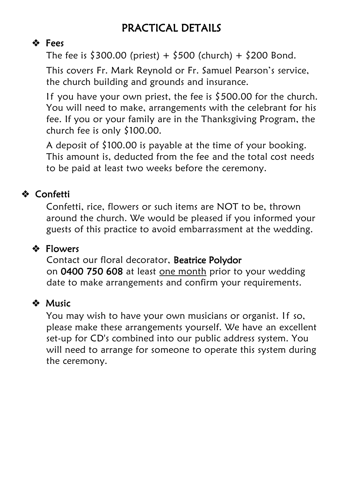# PRACTICAL DETAILS

### ❖ Fees

The fee is  $$300.00$  (priest) +  $$500$  (church) +  $$200$  Bond.

This covers Fr. Mark Reynold or Fr. Samuel Pearson's service, the church building and grounds and insurance.

If you have your own priest, the fee is  $$500.00$  for the church. You will need to make, arrangements with the celebrant for his fee. If you or your family are in the Thanksgiving Program, the church fee is only \$100.00.

A deposit of \$100.00 is payable at the time of your booking. This amount is, deducted from the fee and the total cost needs to be paid at least two weeks before the ceremony.

### Confetti

Confetti, rice, flowers or such items are NOT to be, thrown around the church. We would be pleased if you informed your guests of this practice to avoid embarrassment at the wedding.

### **❖** Flowers

 Contact our floral decorator, Beatrice Polydor on 0400 750 608 at least one month prior to your wedding date to make arrangements and confirm your requirements.

#### **※ Music**

You may wish to have your own musicians or organist. If so, please make these arrangements yourself. We have an excellent set-up for CD's combined into our public address system. You will need to arrange for someone to operate this system during the ceremony.